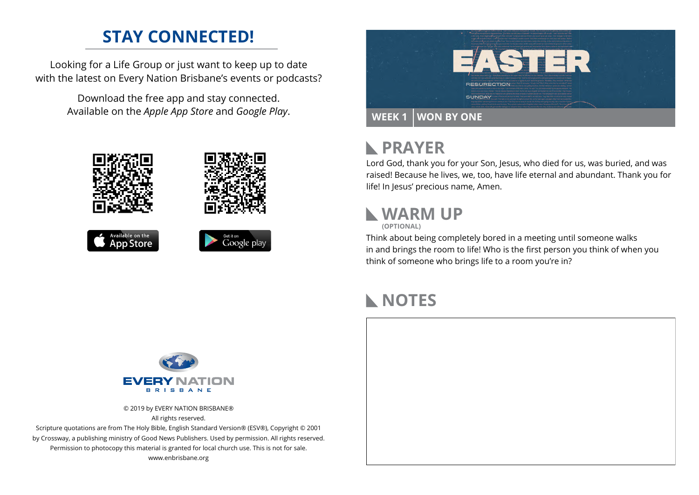## **STAY CONNECTED!**

Looking for a Life Group or just want to keep up to date with the latest on Every Nation Brisbane's events or podcasts?

> Download the free app and stay connected. Available on the *Apple App Store* and *Google Play*.





#### **PRAYER**  $\mathbb{R}$

Lord God, thank you for your Son, Jesus, who died for us, was buried, and was raised! Because he lives, we, too, have life eternal and abundant. Thank you for life! In Jesus' precious name, Amen.

# **WARM UP**

**(OPTIONAL)**

Think about being completely bored in a meeting until someone walks in and brings the room to life! Who is the first person you think of when you think of someone who brings life to a room you're in?

## **NOTES**



© 2019 by EVERY NATION BRISBANE® All rights reserved.

Scripture quotations are from The Holy Bible, English Standard Version® (ESV®), Copyright © 2001 by Crossway, a publishing ministry of Good News Publishers. Used by permission. All rights reserved. Permission to photocopy this material is granted for local church use. This is not for sale. www.enbrisbane.org